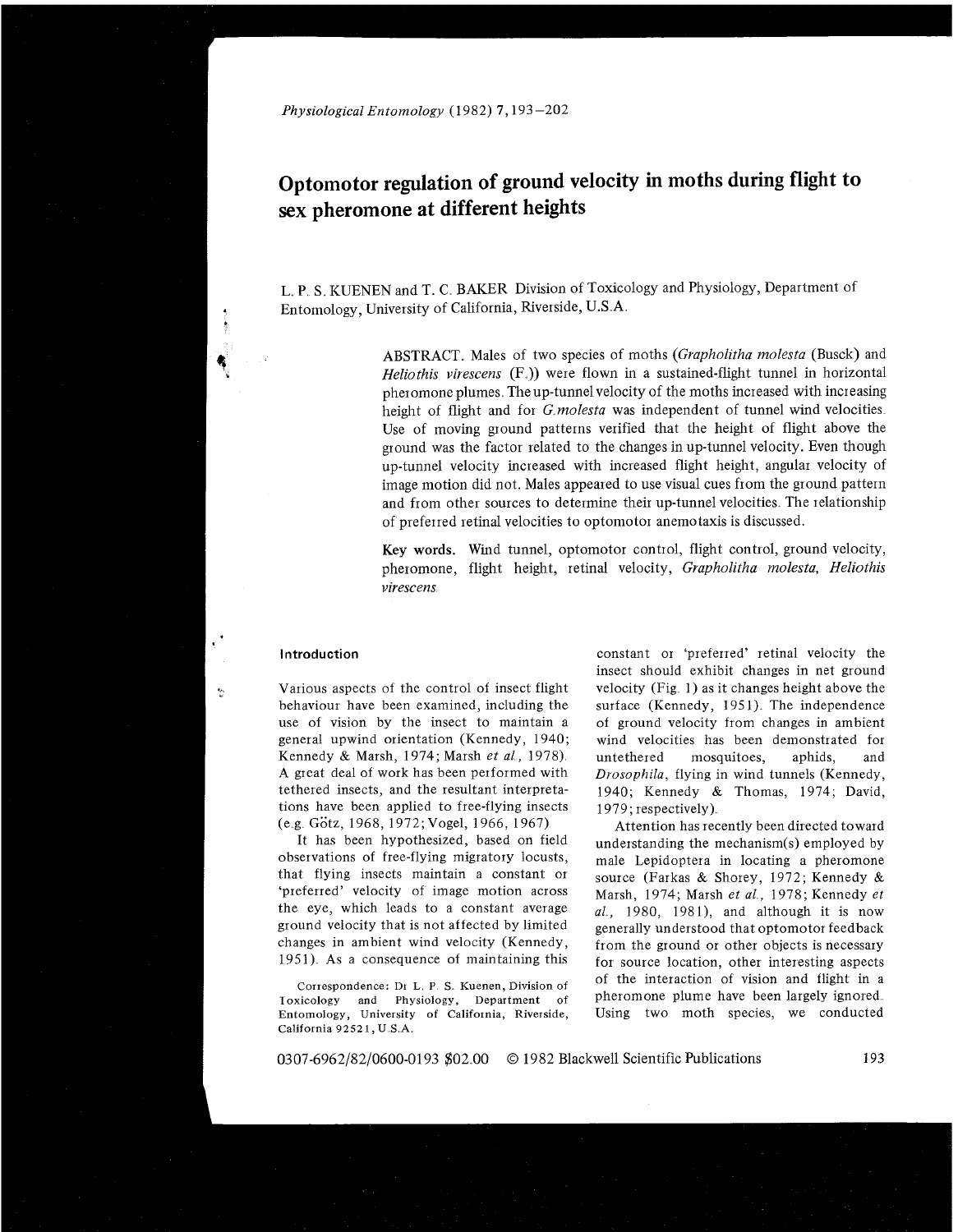# **Optomotor regulation of ground velocity in moths during flight to sex pheromone at different heights**

L. P. S. KUENEN and T. C. BAKER Division of Toxicology and Physiology, Department of Entomology, University of California, Riverside, U.S **A** 

> ABSTRACT Males of two species of moths *(Grapholitha molesta* (Busck) and *Heliothis virescens* (F<sub>a</sub>)) were flown in a sustained-flight tunnel in horizontal pheromone plumes. The up-tunnel velocity of the moths increased with increasing height of flight and for *G molesta* was independent of tunnel wind velocities Use of moving ground patterns verified that the height of flight above the ground was the factor related to the changes in up-tunnel velocity. Even though up-tunnel velocity increased with incieased flight height, angular velocity of image motion did not. Males appeared to use visual cues from the ground pattern and from other sources to determine their up-tunnel velocities. The relationship of preferred retinal velocities to optomotoi anemotaxis is discussed

> Key **words.** Wind tunnel, optomotor control, flight control, ground velocity, pheromone, flight height, retinal velocity, *Grapholitha molesta*, *Heliothis virescens*

 $\mathbf{e}_i$ 

behaviour have been examined, including the surface (Kennedy, 1951). The independence use of vision by the insect to maintain a of ground velocity from changes in ambient general upwind orientation (Kennedy, 1940; wind velocities has been demonstrated for Kennedy & Marsh, 1974; Marsh *et al,* 1978) untethered mosquitoes, aphids, and A great deal of work has been performed with *Drosophila*, flying in wind tunnels (Kennedy, tethered insects, and the resultant interpreta-<br>1940: Kennedy & Thomas 1974: David tions have been applied to free-flying insects  $1979$ ; respectively).<br>(e.g. Götz, 1968, 1972; Vogel, 1966, 1967) Attention has rec

It has been hypothesized, based on field<br>observations of free-flying migratory locusts,<br>that flying insects maintain a constant or<br>observations of free-flying migratory locusts,<br> $\frac{1}{2}$  and  $\frac{1}{2}$  and  $\frac{1}{2}$  and 'preferred' velocity of image motion across  $\frac{1}{2}$  Marsh, 1974; Marsh *et al.*, 1978; Kennedy *et* the eye, which leads to a constant average  $\frac{1}{2}$  1980 1981) and although it is now the eye, which leads to a constant average  $l, 1980, 1981$ , and although it is now<br>ground velocity that is not affected by limited generally understood that ontomotor feedback ground velocity that is not affected by limited generally understood that optomotor feedback<br>changes in ambient wind velocity (Kennedy, from the ground or other objects is necessary changes in ambient wind velocity (Kennedy, from the ground or other objects is necessary<br>1951). As a consequence of maintaining this for source location, other interesting aspects

**Toxicology** and Physiology, Department of **Entomology, University of California, Riverside,** Using two moth species, we conducted **California 92521.** U **S A** 

**Introduction constant or 'preferred' retinal velocity the** insect should exhibit changes in net ground Various aspects of the control of insect flight velocity (Fig. 1) as it changes height above the 1940; Kennedy & Thomas, 1974; David,

g. Gotz, 1968, 1972; Vogel, 1966, 1967)  $\mu$  Attention has recently been directed toward<br>It has been hypothesized, based on field  $\mu$  understanding the mechanism(s) employed by for source location, other interesting aspects **Correspondence: Dr** L **P S Kuenen, Division of** of the interaction of vision and flight in a

0307-6962/82/0600-0193 \$02.00 © 1982 Blackwell Scientific Publications 193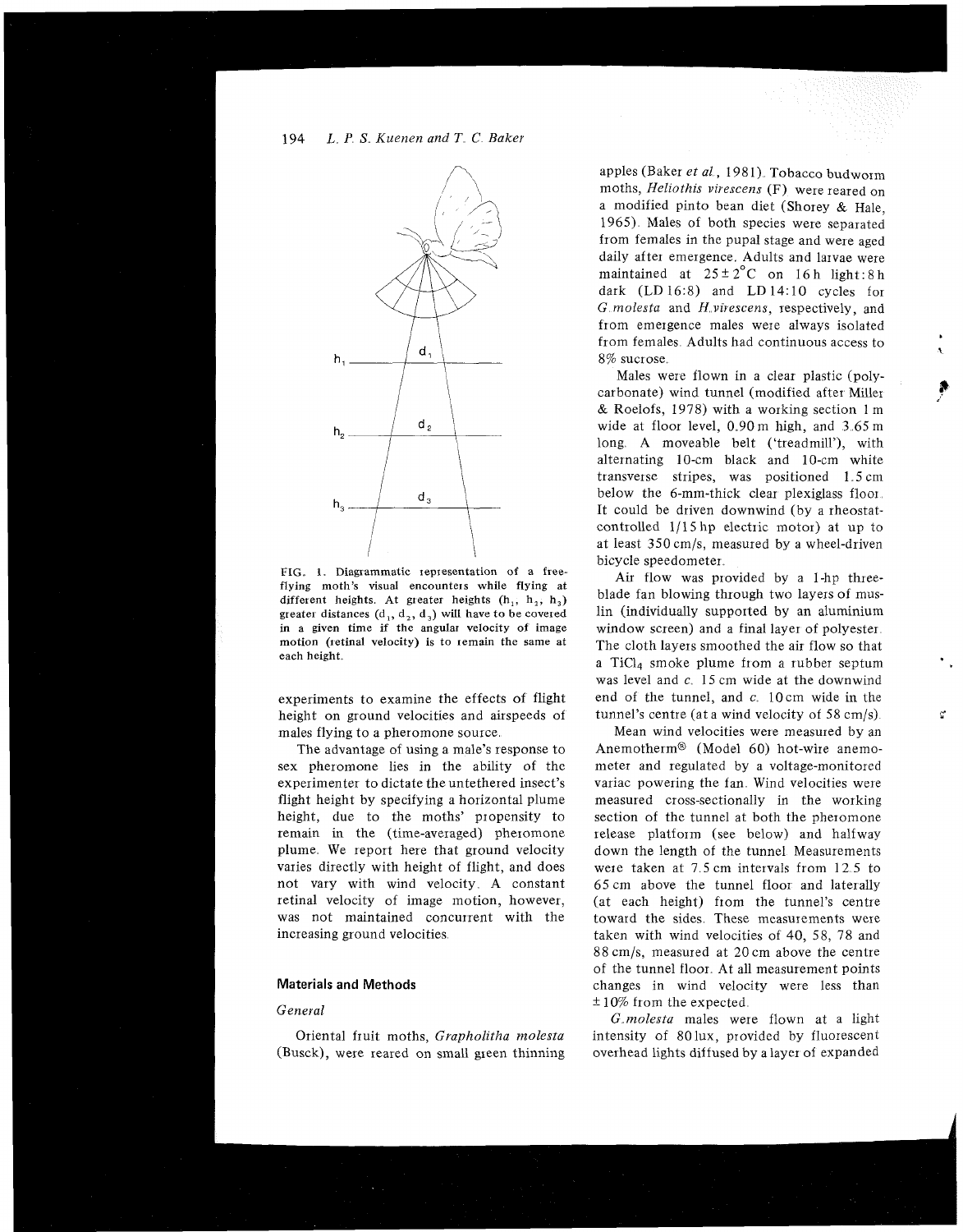# 194 L P S *Kuenen and T* C *Baker*



FIG. 1. Diagrammatic representation of a freeflying moth's **visual** encounteis while flying at different heights. At greater heights  $(h_1, h_2, h_3)$ greater distances  $(d_1, d_2, d_3)$  will have to be covered in a given time if the angular velocity of image motion (retinal velocity) is to remain the same at each height

experiments to examine the effects of flight height on ground velocities and airspeeds of males flying to a pheromone source

The advantage of using a male's response to sex pheromone lies in the ability of the experimenter to dictate the untethered insect's flight height by specifying a horizontal plume height, due to the moths' propensity to remain in the (time-averaged) pheromone plume. We report here that ground velocity varies directly with height of flight, and does not vary with wind velocity A constant retinal velocity of image motion, however, was not maintained concurrent with the increasing ground velocities

# **Materials and Methods**

#### *General*

Oriental fruit moths, *Grapholitha molesta* (Busck), were reared on small gieen thinning

apples (Baker et al., 1981). Tobacco budworm moths, *Heliothis virescens* (F) were reared on a modified pinto bean diet (Shorey & Hale, 1965) Males of both species were separated from females in the pupal stage and were aged daily after emergence Adults and larvae were maintained at  $25 \pm 2^{\circ}$ C on 16 h light: 8 h dark (LD 16:8) and LD 14:10 cycles for *G molesta* and *H virescens*, respectively, and from emergence males were always isolated from females Adults had continuous access to **<sup>1</sup>** 8% sucrose

Males were flown in a clear plastic (polycarbonate) wind tunnel (modified after Miller & Roelofs, 1978) with a working section 1 m wide at floor level,  $0.90 \text{ m}$  high, and  $3.65 \text{ m}$ long. A moveable belt ('treadmill'), with alternating 10-cm black and 10-cm white transverse stripes, was positioned 1 5 cm below the 6-mm-thick clear plexiglass floor It could be driven downwind (by a rheostatcontrolled 1/15 hp electric motor) at up to at least 350 cm/s, measured by a wheel-driven bicycle speedometer

Air flow was provided by a 1-hp threeblade fan blowing through two layers of muslin (individually supported by an aluminium window screen) and a final layer of polyester. The cloth layers smoothed the air flow so that a Ticla smoke plume from a rubber septum was level and *c*. 15 cm wide at the downwind end of the tunnel, and *c*. 10cm wide in the tunnel's centre (at a wind velocity of 58 cm/s)

Mean wind velocities were measured by an AnemothermB (Model 60) hot-wire anemometer and regulated by a voltage-monitored variac powering the fan. Wind velocities were measured cross-sectionally in the working section of the tunnel at both the pheromone release platform (see below) and halfway down the length of the tunnel Measurements were taken at 7.5 cm intervals from 12.5 to 65cm above the tunnel floor and laterally (at each height) from the tunnel's centre toward the sides. These measurements were taken with wind velocities of 40, 58, 78 and 88 cm/s, measured at 20cm above the centre of the tunnel floor At all measurement points changes in wind velocity were less than  $\pm 10\%$  from the expected.

*G molesta* males were flown at a light intensity of 80 lux, provided by fluorescent overhead lights diffused by alayer of expanded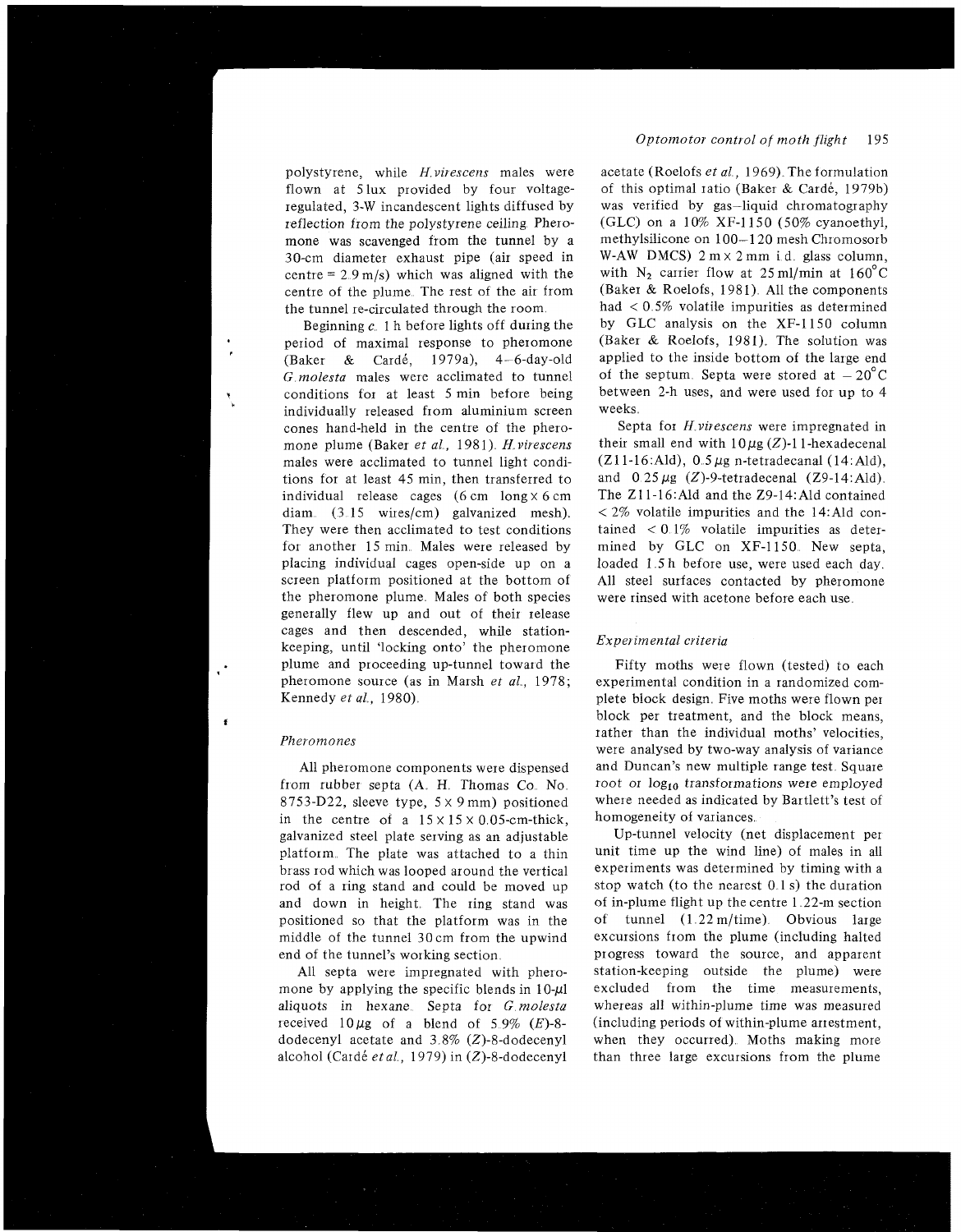polystyrene, while H *virescens* males were flown at 5lux provided by four voltageregulated, 3-W incandescent lights diffused by reflection from the polystyrene ceiling Pheromone was scavenged from the tunnel by a 30-cm diameter exhaust pipe (air speed in centre =  $2.9 \text{ m/s}$ ) which was aligned with the centre of the plume The rest of the air from the tunnel re-circulated through the room

Beginning  $c<sub>n</sub>$  1 h before lights off during the period of maximal response to pheromone (Baker & Card&, 1979a), 4-6-day-old *G molesta* males were acclimated to tunnel **t** conditions for at least 5 min before being individually released from aluminium screen cones hand-held in the centre of the pheromone plume (Baker *et al,* 1981) *H virescens*  males were acclimated to tunnel light conditions for at least 45 min, then transferred to individual release cages  $(6 \text{ cm} \ln x) \times 6 \text{ cm}$ diam (3.15 wires/cm) galvanized mesh). They were then acclimated to test conditions for another 15 min. Males were released by placing individual cages open-side up on a screen platform positioned at the bottom of the pheromone plume. Males of both species generally flew up and out of their release cages and then descended, while stationkeeping, until 'locking onto' the pheromone plume and proceeding up-tunnel toward the pheromone source (as in Marsh et al., 1978; Kennedy et al., 1980).

## *Pheromones*

×

All pheromone components were dispensed from rubber septa (A. H. Thomas Co. No. 8753-D22, sleeve type, 5 x 9 mm) positioned in the centre of a  $15 \times 15 \times 0.05$ -cm-thick, galvanized steel plate serving as an adjustable platform. The plate was attached to a thin brass rod which was looped around the vertical rod of a ring stand and could be moved up and down in height. The ring stand was positioned so that the platform was in the middle of the tunnel 30cm from the upwind end of the tunnel's working section

All septa were impregnated with pheromone by applying the specific blends in  $10-\mu$ l aliquots in hexane Septa for G *molesta*  received  $10 \mu$ g of a blend of 5.9% (E)-8dodecenyl acetate and  $3.8\%$  (Z)-8-dodecenyl alcohol (Card& *et a1* , 1979) in (2)-8-dodecenyl

#### *Optomotor control of moth flight* 195

acetate (Roelofs *et al.*, 1969). The formulation of this optimal ratio (Baker & Cardé, 1979b) was verified by gas-liquid chromatography (GLC) on a 10% XF-1150 (50% cyanoethyl, methylsilicone on 100-1 20 mesh Chromosorb W-AW DMCS)  $2 \text{ m} \times 2 \text{ mm}$  i.d. glass column, with  $N_2$  carrier flow at 25 ml/min at 160°C (Baker & Roelofs, 1981). All the components had  $\langle 0.5\%$  volatile impurities as determined by GLC analysis on the XF-1150 column (Baker & Roelofs, 1981). The solution was applied to the inside bottom of the large end of the septum. Septa were stored at  $-20^{\circ}$ C between 2-h uses, and were used for up to 4 weeks

Septa for H *virescens* were impregnated in their small end with  $10\mu$ g (Z)-11-hexadecenal  $(Z11-16:$ Ald),  $0.5 \mu$ g n-tetradecanal (14:Ald), and  $0.25 \mu$ g (Z)-9-tetradecenal (Z9-14:Ald). The Z11-16:Ald and the Z9-14:Ald contained  $<$  2% volatile impurities and the 14:Ald contained  $\langle 0.1\%$  volatile impurities as determined by GLC on XF-1150. New septa, loaded 1.5h before use, were used each day. All steel surfaces contacted by pheromone were rinsed with acetone before each use

#### *Experimental criteria*

Fifty moths were flown (tested) to each experimental condition in a randomized complete block design. Five moths were flown per block per treatment, and the block means, rather than the individual moths' velocities, were analysed by two-way analysis of variance and Duncan's new multiple range test. Square root or log<sub>10</sub> transformations were employed where needed as indicated by Bartlett's test of homogeneity of variances.

Up-tunnel velocity (net displacement per unit time up the wind line) of males in all experiments was determined by timing with a stop watch (to the nearest  $0.1 s$ ) the duration of in-plume flight up the centre 1 22-m section of tunnel  $(1.22 \text{ m/time})$  Obvious large excursions from the plume (including halted progress toward the source, and apparent station-keeping outside the plume) were excluded from the time measurements, whereas all within-plume time was measured (including periods of within-plume artestment, when they occurred). Moths making more than three large excursions from the plume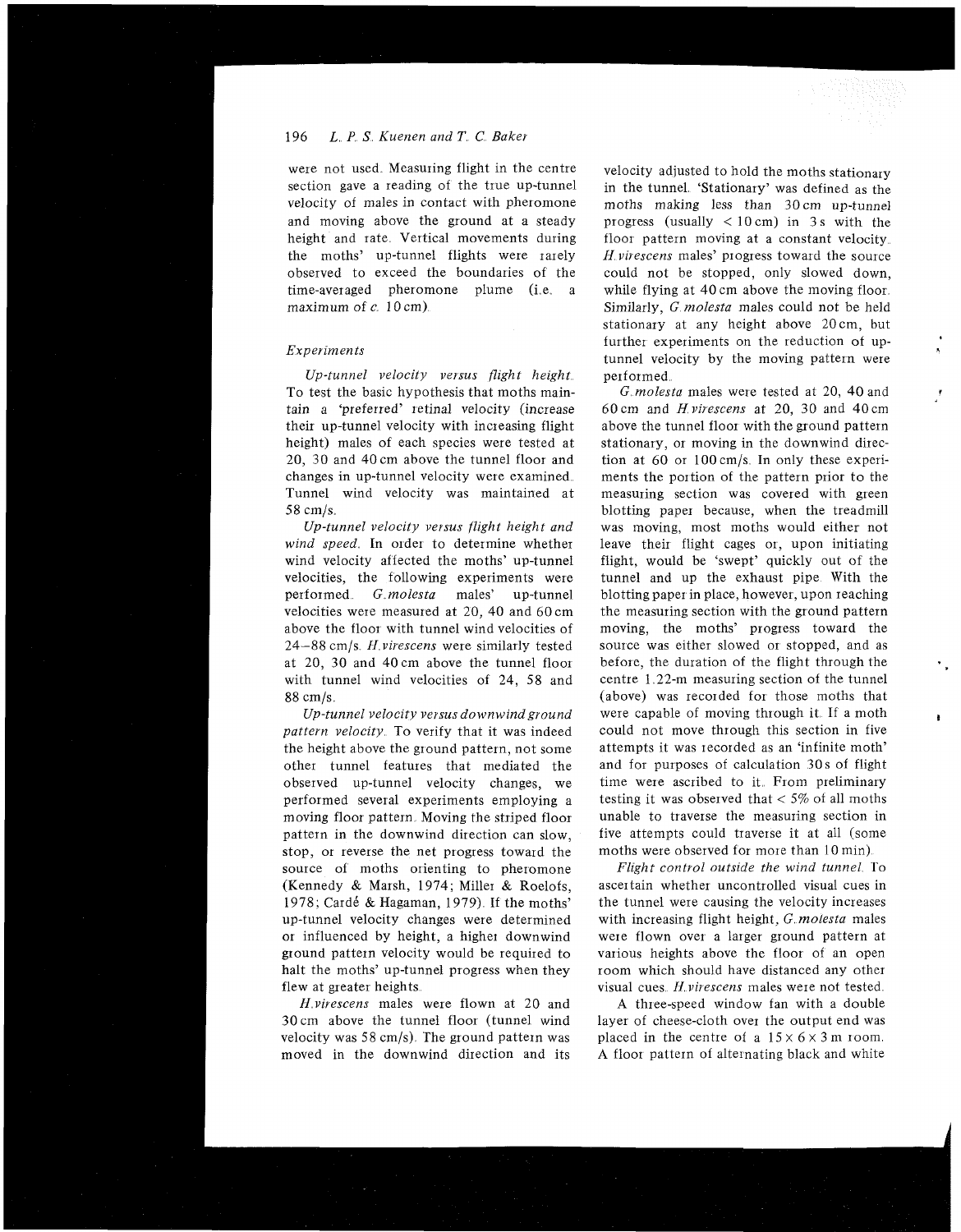# 196 L P *S Kuenen and T C Baker*

were not used. Measuring flight in the centre section gave a reading of the true up-tunnel velocity of males in contact with pheromone and moving above the ground at a steady height and rate Vertical movements during the moths' up-tunnel flights were rarely observed to exceed the boundaries of the time-averaged pheromone plume (i.e. a maximum of  $c$  10 cm).

#### *Experiments*

*Up-tunnel velocity versus flight height*  To test the basic hypothesis that moths maintain a 'preferred' retinal velocity (increase their up-tunnel velocity with increasing flight height) males of each species were tested at 20, 30 and 40 cm above the tunnel floor and changes in up-tunnel velocity were examined Tunnel wind velocity was maintained at 58 cm/s

*Up-tunnel velocity versus flight height and*  wind speed. In order to determine whether wind velocity affected the moths' up-tunnel velocities, the following experiments were performed G *molesta* males' up-tunnel velocities were measured at 20, 40 and 60cm above the floor with tunnel wind velocities of 24-88 cm/s H *virescens* were similarly tested at 20, 30 and 40cm above the tunnel floor with tunnel wind velocities of 24, 58 and 88 cm/s

Up-tunnel velocity versus downwind ground pattern velocity. To verify that it was indeed the height above the ground pattern, not some other tunnel features that mediated the observed up-tunnel velocity changes, we performed several experiments employing a moving floor pattern. Moving the striped floor pattern in the downwind direction can slow, stop, or reverse the net progress toward the source of moths orienting to pheromone (Kennedy & Marsh, 1974; Miller & Roelofs, 1978; Cardé & Hagaman, 1979). If the moths' up-tunnel velocity changes were determined or influenced by height, a higher downwind ground pattern velocity would be required to halt the moths' up-tunnel progress when they flew at greater heights

*H virescens* males were flown at 20 and 30cm above the tunnel floor (tunnel wind velocity was  $58 \text{ cm/s}$ . The ground pattern was moved in the downwind direction and its velocity adjusted to hold the moths stationary in the tunnel. 'Stationary' was defined as the moths making less than 30 cm up-tunnel progress (usually  $< 10 \text{ cm}$ ) in 3s with the floor pattern moving at a constant velocity. H *virescens* males' progress toward the source could not be stopped, only slowed down, while flying at 40 cm above the moving floor. Similarly, G *molesta* males could not be held stationary at any height above 20cm, but further experiments on the reduction of uptunnel velocity by the moving pattern were performed

*G molesta* males were tested at 20, 40 and 60 cm and H *virescens* at 20, 30 and 40cm above the tunnel floor with the ground pattern stationary, or moving in the downwind direction at 60 or lOOcm/s In only these experiments the portion of the pattern prior to the measuring section was covered with green blotting paper because, when the treadmill was moving, most moths would either not leave their flight cages or, upon initiating flight, would be 'swept' quickly out of the tunnel and up the exhaust pipe With the blotting paper in place, however, upon reaching the measuring section with the ground pattern moving, the moths' progress toward the source was either slowed or stopped, and as before, the duration of the flight through the centre 1 22-m measuring section of the tunnel (above) was recorded for those moths that were capable of moving through it If a moth could not move through this section in five attempts it was recorded as an 'infinite moth' and for purposes of calculation 30s of flight time were ascribed to it. From preliminary testing it was observed that  $<$  5% of all moths unable to traverse the measuring section in five attempts could traverse it at all (some moths were observed for more than 10 min)

*Flight control outside the wind tunnel* To ascertain whether uncontrolled visual cues in the tunnel were causing the velocity increases with increasing flight height, G *molesta* males were flown over a larger ground pattern at various heights above the floor of an open room which should have distanced any other visual cues H *virescens* males were not tested

A three-speed window fan with a double layer of cheese-cloth over the output end was placed in the centre of a  $15 \times 6 \times 3$  m room. A floor pattern of alternating black and white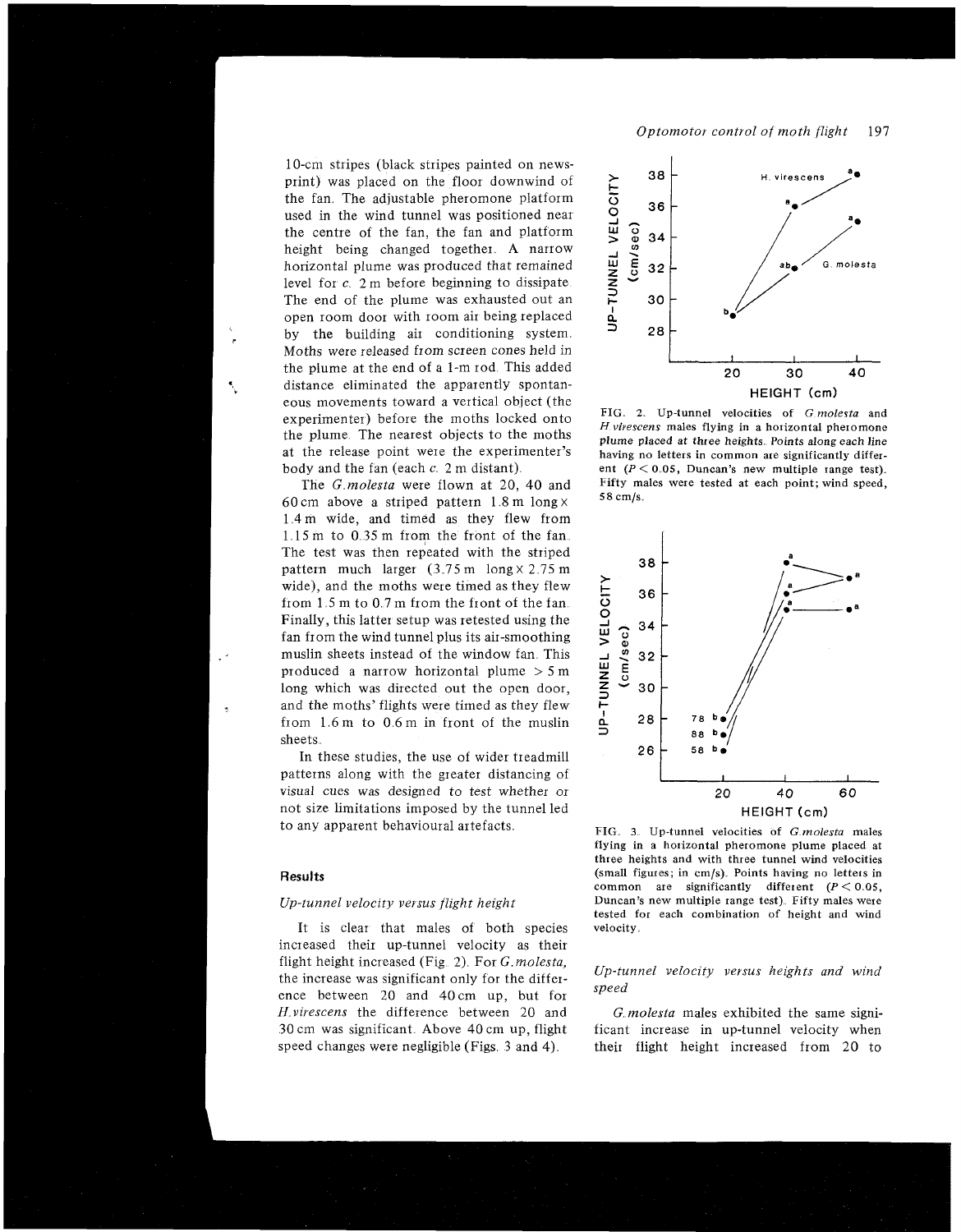10-cm stripes (black stripes painted on newsprint) was placed on the floor downwind of the fan. The adjustable pheromone platform used in the wind tunnel was positioned near the centre of the fan, the fan and platform height being changed together. A narrow horizontal plume was produced that remained level for  $c_{\alpha}$  2 m before beginning to dissipate. The end of the plume was exhausted out an open room door with room air being replaced by the building air conditioning system. Moths were released from screen cones held in the plume at the end of a 1-m rod This added distance eliminated the apparently spontanessince enfinited the apparently spontant-<br>
eous movements toward a vertical object (the **HIG. 2.** Up-tunnel velocities of *G molesta* and experimenter) before the moths locked onto

The *G molesta* were flown at 20, 40 and Fifty m<br>speed, at each point speed, at each point; wind speed, speed, speed, speed, speed, speed, speed, speed, speed, speed, speed, speed, speed, speed, speed, speed, speed, speed 60cm above a striped pattern 1.8 m long  $\times$ 14m wide, and timed as they flew from  $1.15 \text{ m}$  to  $0.35 \text{ m}$  from the front of the fan. The test was then repeated with the striped pattern much larger  $(3.75 \text{ m} \cdot \log x)$  2.75 m wide), and the moths were timed as they flew from  $1.5$  m to  $0.7$  m from the front of the fan. Finally, this latter setup was retested using the fan from the wind tunnel plus its air-smoothing muslin sheets instead of the window fan. This produced a narrow horizontal plume  $> 5$  m long which was directed out the open door, and the moths' flights were timed as they flew from 1.6 m to 0.6 m in front of the muslin sheets.

In these studies, the use of wider treadmill patterns along with the greater distancing of visual cues was designed to test whether or 20 40 60 not size limitations imposed by the tunnel led<br>to any apparent behavioural artefacts.<br> $F = \frac{F}{C}$  as H<sub>E</sub>IG and velocities of Cm of

### **Results**

#### Up-tunnel velocity versus flight height

It is clear that males of both species velocity. increased their up-tunnel velocity as their flight height increased (Fig. 2). For *G. molesta*, the increase was significant only for the differ-<br>the increase was significant only for the differ-<br>*speed* ence between 20 and 40cm up, but for *Hvirescens* the difference between 20 and G *molesta* males exhibited the same signi-30 cm was significant Above 40 cm up, flight ficant increase in up-tunnel velocity when



*H* virescens males flying in a horizontal pheromone the plume. The nearest objects to the moths<br>at the release point were the experimenter's playing placed at three heights. Points along each line<br>having no letters in common are significantly differat the release point were the experimenter's having no letters in common are significantly differ-<br>body and the fan (each c. 2 m distant). ent ( $P < 0.05$ , Duncan's new multiple range test). ent  $(P < 0.05$ , Duncan's new multiple tange test).<br>Fifty males were tested at each point; wind speed,



FIG. 3. Up-tunnel velocities of G *molesta* males flying in a hotizontal phetomone plume placed at three heights and with three tunnel wind velocities (small figures; in cm/s). Points having no letters in common are significantly different  $(P < 0.05$ ,<br>Duncan's new multiple range test). Fifty males were tested for each combination of height and wind

speed changes were negligible (Figs. 3 and 4). their flight height increased from 20 to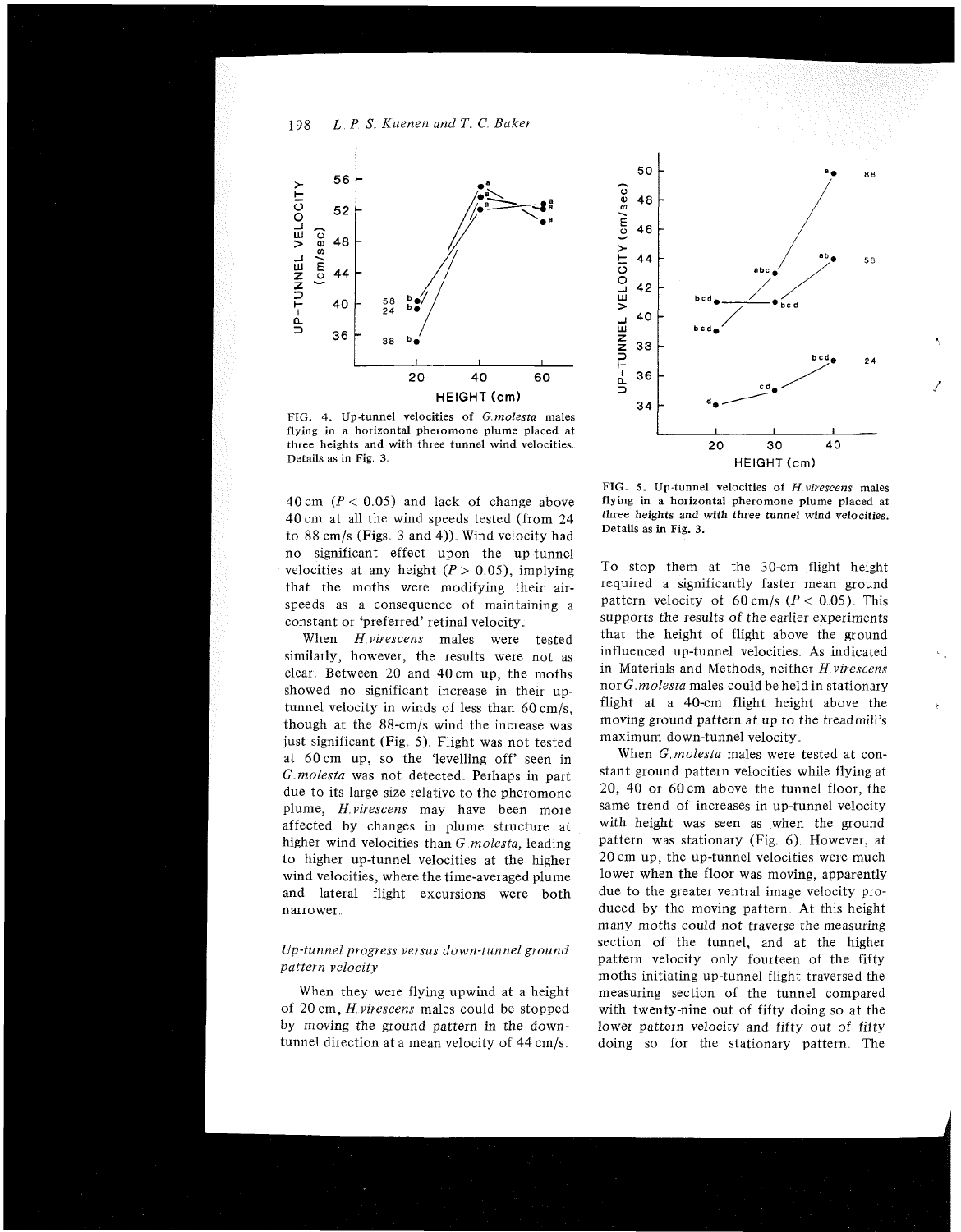198 L P S *Kuenen and T C Baker* 



FIG. 4. Up-tunnel velocities of G *molesta* males flying in a horizontal pheiomone plume placed at three heights and with three tunnel wind velocities Details as in Fig. 3.

40 cm  $(P < 0.05)$  and lack of change above 40 cm at all the wind speeds tested (from 24 to  $88 \text{ cm/s}$  (Figs. 3 and 4)). Wind velocity had no significant effect upon the up-tunnel velocities at any height  $(P > 0.05)$ , implying that the moths were modifying their airspeeds as a consequence of maintaining a constant or 'preferred' retinal velocity

When *H* virescens males were tested similarly, however, the results were not as clear. Between  $20$  and  $40 \text{ cm}$  up, the moths showed no significant increase in their uptunnel velocity in winds of less than 60 cm/s, though at the 88-cm/s wind the increase was just significant (Fig. 5). Flight was not tested at 60cm up, so the 'levelling off seen in G molesta was not detected. Perhaps in part due to its large size relative to the pheromone plume, *Hvirescens* may have been more affected by changes in plume structure at higher wind velocities than G *molesta,* leading to higher up-tunnel velocities at the higher wind velocities, where the time-averaged plume and lateral flight excursions were both narrower

# *Up-tunnel progress versus down-tunnel ground pattern velocity*

When they were flying upwind at a height of 20 cm, *H virescens* males could be stopped by moving the ground pattern in the downtunnel direction at a mean velocity of 44 cm/s



FIG **5,** Up-tunnel velocities of H *virescens* males flying in a horizontal pheromone plume placed at three heights and with three tunnel wind velocities. Details as in Fig. **3.** 

To stop them at the 30-cm flight height required a significantly faster mean ground pattern velocity of 60 cm/s ( $P < 0.05$ ). This supports the results of the earlier experiments that the height of flight above the ground influenced up-tunnel velocities As indicated in Materials and Methods, neither *H virescens*  nor *G molesta* males could be heldin stationary flight at a 40-cm flight height above the moving ground pattern at up to the treadmill's maximum down-tunnel velocity

When *G,molesta* males were tested at constant ground pattern velocities while flying at 20, 40 or 60 cm above the tunnel floor, the same trend of increases in up-tunnel velocity with height was seen as when the ground pattern was stationary (Fig. 6). However, at 20 cm up, the up-tunnel velocities were much lower when the floor was moving, apparently due to the greater ventral image velocity produced by the moving pattern. At this height many moths could not traverse the measuring section of the tunnel, and at the higher pattern velocity only fourteen of the fifty moths initiating up-tunnel flight traversed the measuring section of the tunnel compared with twenty-nine out of fifty doing so at the lower pattern velocity and fifty out of fifty doing so for the stationary pattern. The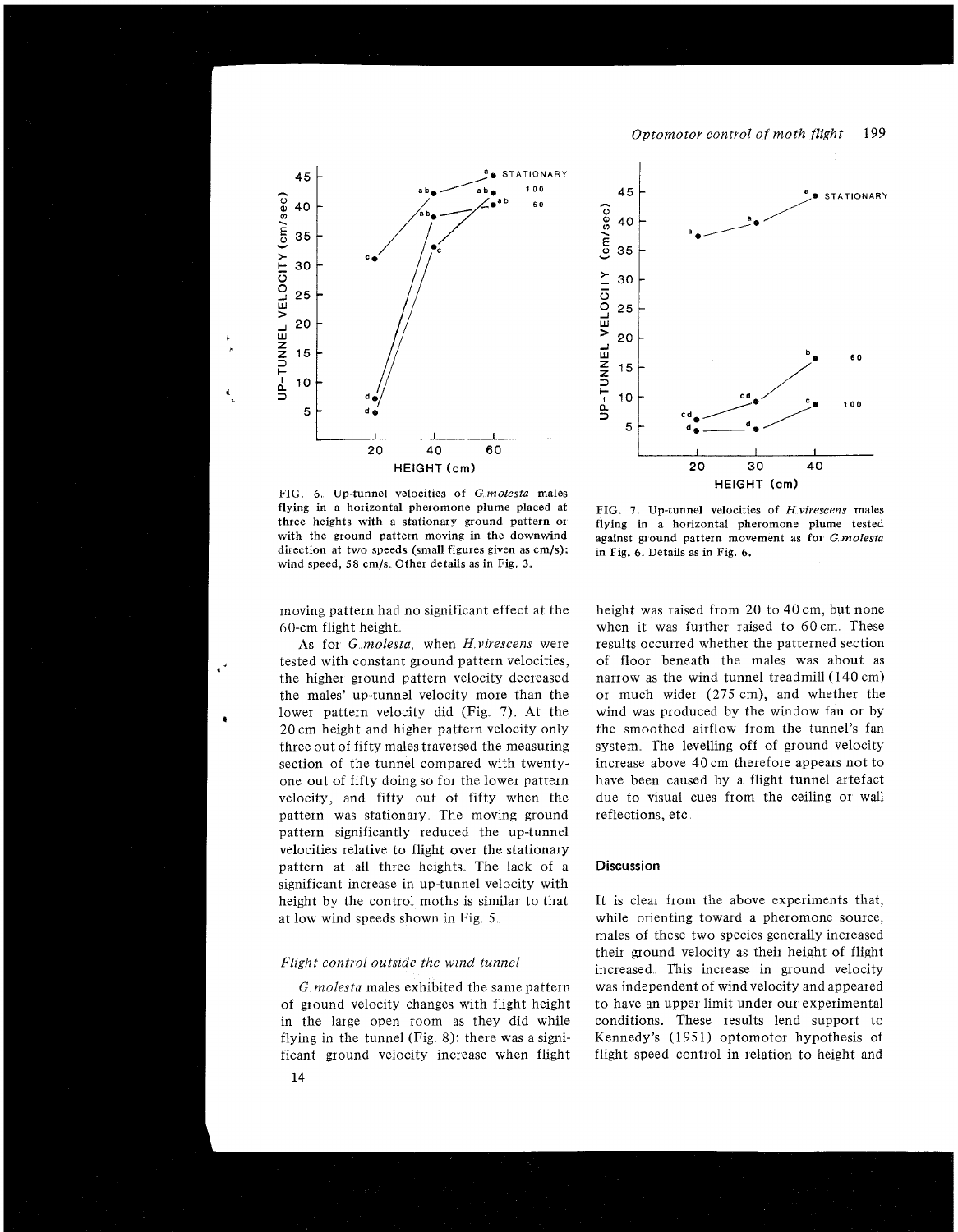Optomotor control of moth flight 199





45 **STATIONARY** UP-TUNNEL VELOCITY (cm/sec) 40 35 30 25 20 15 10 100 5 HEIGHT (crn) **20** 30 **40** 

FIG. 7. Up-tunnel velocities of H.virescens males flying in a horizontal pheromone plume tested against ground pattern movement as for G.molesta in Fig. 6. Details as in Fig. 6.

moving pattern had no significant effect at the 60-cm flight height

As for *G molesta*, when *H virescens* were tested with constant ground pattern velocities, . the higher ground pattern velocity decreased the males' up-tunnel velocity more than the lower pattern velocity did  $(Fig. 7)$ . At the 20 cm height and higher pattern velocity only three out of fifty males traversed the measuring section of the tunnel compared with twentyone out of fifty doing so for the lower pattern velocity, and fifty out of fifty when the pattern was stationary The moving ground pattern significantly reduced the up-tunnel velocities relative to flight over the stationary pattern at all three heights. The lack of a significant increase in up-tunnel velocity with height by the control moths is similar to that at low wind speeds shown in Fig. 5.

### Flight control outside the wind tunnel

14

of ground velocity changes with flight height to have an upper limit under our experimental in the large open room as they did while conditions. These results lend support to flying in the tunnel (Fig. 8): there was a signi- Kennedy's (1951) optomotor hypothesis of ficant ground velocity increase when flight flight speed control in relation to height and

height was raised from 20 to 40 cm, but none when it was further raised to 60cm. These results occurred whether the patterned section of floor beneath the males was about as narrow as the wind tunnel treadmill (140 cm) or much wider (275 cm), and whether the wind was produced by the window fan or by the smoothed airflow from the tunnel's fan system. The levelling off of ground velocity increase above 40 cm therefore appears not to have been caused by a flight tunnel artefact due to visual cues from the ceiling or wall reflections, etc

#### **Discussion**

It is clear from the above experiments that, while orienting toward a pheromone source, males of these two species generally increased their ground velocity as their height of flight increased. This increase in ground velocity *G molesta* males exhibited the same pattern was independent of wind velocity and appeared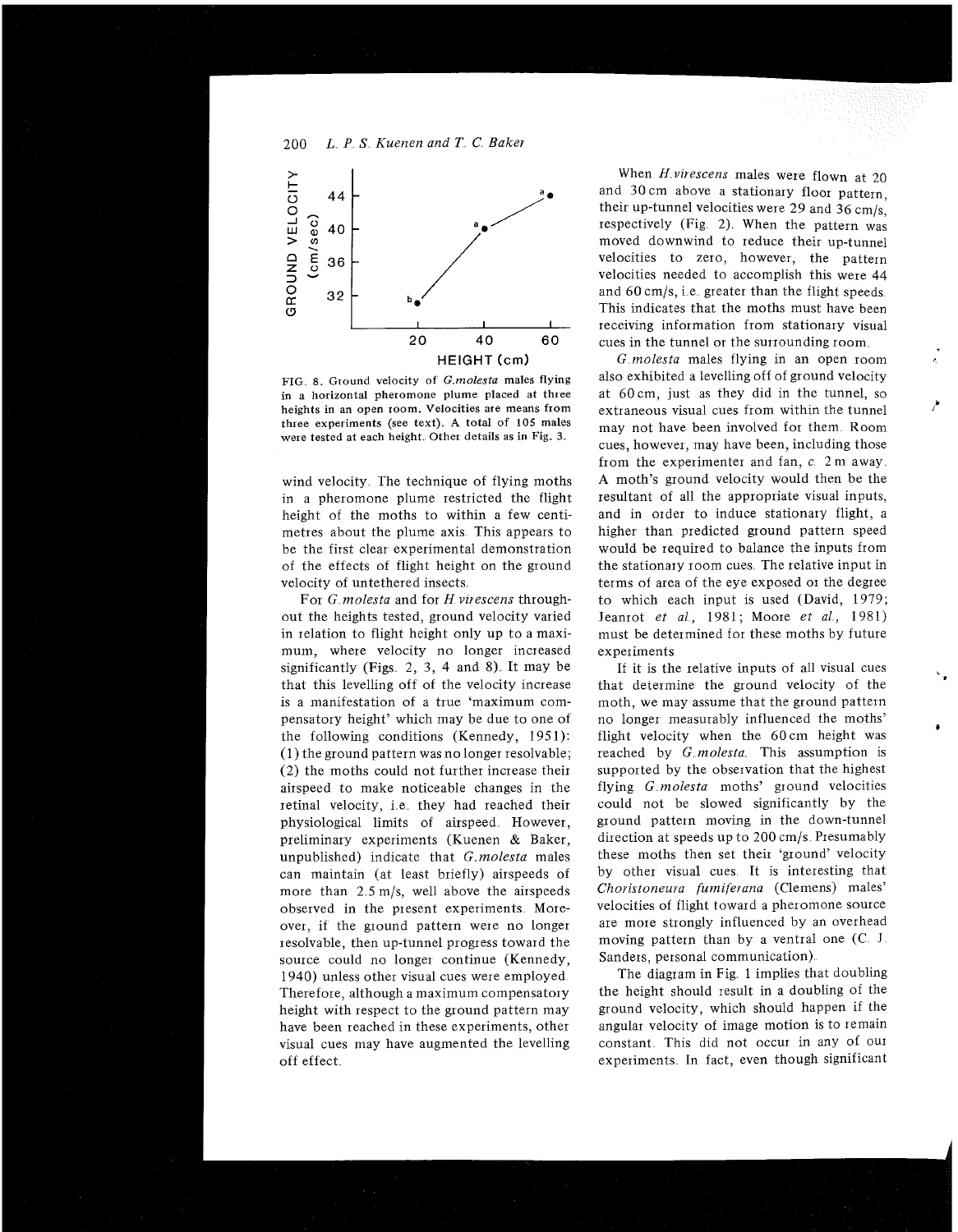# 200 *L. P S Kuenen and T. C. Baker*



FIG 8. Ground velocity of **G** *molesta* males flying in a horizontal pheromone plume placed at three heights in an open room. Velocities are means from three experiments (see text) **A** total of 105 males were tested at each height. Other details as in Fig. 3.

wind velocity. The technique of flying moths in a pheromone plume restricted the flight height of the moths to within a few centimetres about the plume axis This appears to be the first clear experimental demonstration of the effects of flight height on the ground velocity of untethered insects

For *G molesta* and for *H virescens* throughout the heights tested, ground velocity varied in relation to flight height only up to a maximum, where velocity no longer increased significantly (Figs.  $2, 3, 4$  and 8). It may be that this levelling off of the velocity increase is a manifestation of a true 'maximum compensatory height' which may be due to one of the following conditions (Kennedy, 1951): (1) the ground pattern was no longer resolvable; (2) the moths could not further increase their airspeed to make noticeable changes in the retinal velocity, i e they had reached their physiological limits of airspeed. However, preliminary experiments (Kuenen & Baker, unpublished) indicate that G *molesta* males can maintain (at least briefly) airspeeds of more than 2.5 m/s, well above the airspeeds observed in the present experiments Moreover, if the ground pattern were no longer resolvable, then up-tunnel progress toward the source could no longer continue (Kennedy, 1940) unless other visual cues were employed Therefore, although a maximum compensatory height with respect to the ground pattern may have been reached in these experiments, other visual cues may have augmented the levelling off effect

When *H virescens* males were flown at 20 and 30 cm above a stationary floor pattern, their up-tunnel velocities were 29 and 36 cm/s, respectively (Fig. 2). When the pattern was moved downwind to reduce their up-tunnel velocities to zero, however, the pattern velocities needed to accomplish this were 44 and  $60 \text{ cm/s}$ , i.e. greater than the flight speeds. This indicates that the moths must have been receiving information from stationary visual cues in the tunnel or the surrounding room

G *molesta* males flying in an open room also exhibited a levelling off of ground velocity at 60 cm, just as they did in the tunnel, so extraneous visual cues from within the tunnel **<sup>b</sup>** may not have been involved for them Room cues, however, may have been, including those from the experimenter and fan,  $c<sub>c</sub>$  2 m away. A moth's ground velocity would then be the resultant of all the appropriate visual inputs, and in order to induce stationary flight, a higher than predicted ground pattern speed would be required to balance the inputs from the stationary room cues The relative input in terms of area of the eye exposed or the degree to which each input is used (David, 1979; Jeanrot *et al.*, 1981; Moore *et al.*, 1981) must be determined for these moths by future experiments

If it is the relative inputs of all visual cues that determine the ground velocity of the moth, we may assume that the ground pattern no longer measurably influenced the moths' flight velocity when the 60cm height was reached by G *molesta* This assumption is supported by the observation that the highest flying G *molesta* moths' ground velocities could not be slowed significantly by the ground pattern moving in the down-tunnel direction at speeds up to 200 cm/s Presumably these moths then set their 'ground' velocity by other visual cues It is interesting that *Choristoneura fumiferana* (Clemens) males' velocities of flight toward a pheromone source are more strongly influenced by an overhead moving pattern than by a ventral one *(C* I Sanders, personal communication)

The diagram in Fig. 1 implies that doubling the height should result in a doubling of the ground velocity, which should happen if the angular velocity of image motion is to remain constant. This did not occur in any of our experiments In fact, even though significant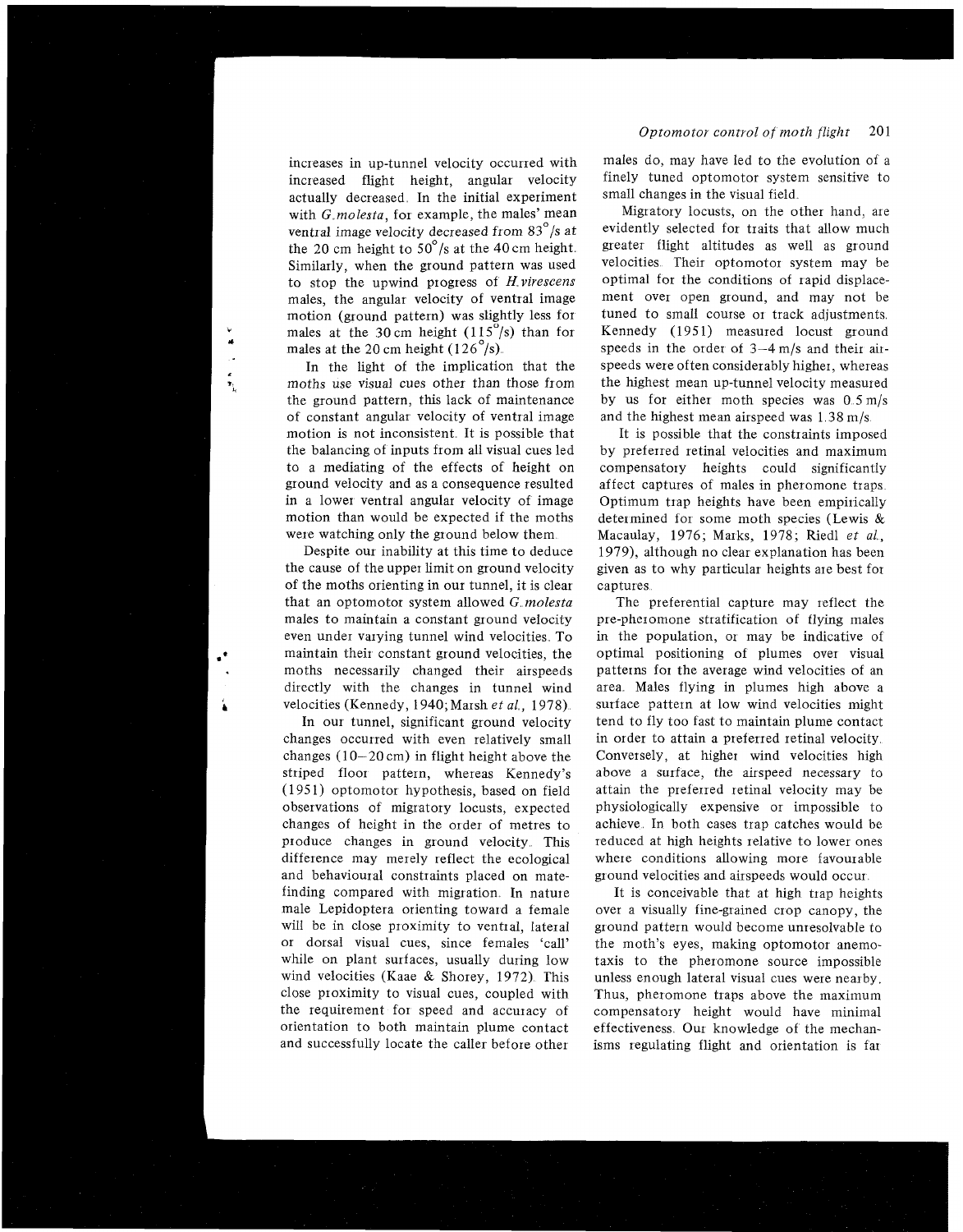increases in up-tunnel velocity occuned with increased flight height, angular velocity actually decreased In the initial experiment with *G* molesta, for example, the males' mean ventral image velocity decreased from 83"/s at the 20 cm height to  $50^{\circ}/s$  at the 40 cm height. Similarly, when the ground pattern was used to stop the upwind progress of H *virescens*  males, the angular velocity of ventral image motion (ground pattern) was slightly less for males at the 30 cm height  $(115^{\circ}/s)$  than for males at the 20 cm height  $(126^{\circ}/s)$ .

In the light of the implication that the moths use visual cues other than those from the ground pattern, this lack of maintenance of constant angular velocity of ventral image motion is not inconsistent. It is possible that the balancing of inputs from all visual cues led to a mediating of the effects of height on ground velocity and as a consequence resulted in a lower ventral angular velocity of image motion than would be expected if the moths were watching only the ground below them

maintain their constant ground velocities, the optimal positioning of plumes over visual moths necessarily changed their airspeeds patterns for the average wind velocities of an directly with the changes in tunnel wind area Males flying in plumes high above a velocities (Kennedy, 1940; Marsh *et al.*, 1978). surface pattern at low wind velocities might Despite our inability at this time to deduce the cause of the upper limit on ground velocity of the moths orienting in our tunnel, it is clear that an optomotor system allowed G, *molesta*  males to maintain a constant ground velocity even under vaiying tunnel wind velocities. To

changes occurred with even relatively small in order to attain a preferred retinal velocity changes  $(10-20 \text{ cm})$  in flight height above the Conversely, at higher wind velocities high striped floor pattern, whereas Kennedy's above a surface, the airspeed necessary to (1951) optomotor hypothesis, based on field attain the preferred retinal velocity may be observations of migratory locusts, expected physiologically expensive or impossible to changes of height in the order of metres to achieve In both cases trap catches would be produce changes in ground velocity This reduced at high heights relative to lower ones difference may merely reflect the ecological where conditions allowing more favourable and behavioural constraints placed on mate- ground velocities and airspeeds would occur finding compared with migration In nature It is conceivable that at high trap heights male Lepidoptera orienting toward a female over a visually fine-grained crop canopy, the will be in close proximity to ventral, lateral ground pattern would become unresolvable to or dorsal visual cues, since females 'call' the moth's eves, making optomotor anemowhile on plant surfaces, usually during low taxis to the pheromone source impossible wind velocities (Kaae & Shorey, 1972). This unless enough lateral visual cues were nearby. close proximity to visual cues, coupled with Thus, pheromone traps above the maximum the requirement for speed and accuracy of compensatory height would have minimal orientation to both maintain plume contact effectiveness Our knowledge of the mechan-

### *Optomotor control of moth flight* 201

males do, may have led to the evolution of a finely tuned optomotor system sensitive to small changes in the visual field

Migratory locusts, on the other hand, are evidently selected for traits that allow much greater flight altitudes as well as ground velocities Their optomotor system may be optimal for the conditions of rapid displacement over open ground, and may not be tuned to small course or track adjustments. Kennedy (1951) measured locust ground speeds in the order of 3-4 m/s and their airspeeds were often considerably higher, whereas the highest mean up-tunnel velocity measured by us for either moth species was 0 5m/s and the highest mean airspeed was  $1.38 \text{ m/s}$ .

It is possible that the constraints imposed by preferred retinal velocities and maximum compensatory heights could significantly affect captures of males in pheromone traps Optimum trap heights have been empirically determined for some moth species (Lewis & Macaulay, 1976; Marks, 1978; Riedl *et al,*  1979), although no clear explanation has been given as to why particular heights are best fox captures

In our tunnel, significant ground velocity tend to fly too fast to maintain plume contact The preferential capture may reflect the pre-pheromone stratification of flying males in the population, or may be indicative of

the moth's eyes, making optomotor anemoand successfully locate the caller before other isms regulating flight and orientation is far